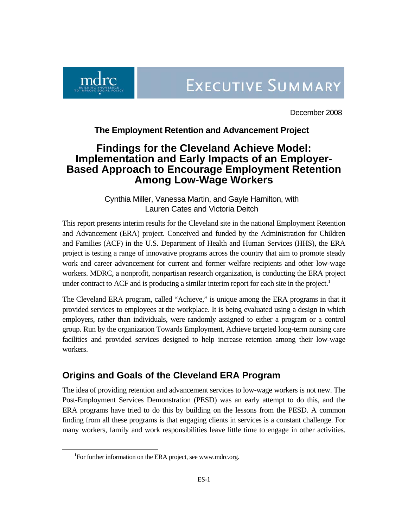

December 2008

## **The Employment Retention and Advancement Project**

# **Findings for the Cleveland Achieve Model: Implementation and Early Impacts of an Employer-Based Approach to Encourage Employment Retention Among Low-Wage Workers**

Cynthia Miller, Vanessa Martin, and Gayle Hamilton, with Lauren Cates and Victoria Deitch

This report presents interim results for the Cleveland site in the national Employment Retention and Advancement (ERA) project. Conceived and funded by the Administration for Children and Families (ACF) in the U.S. Department of Health and Human Services (HHS), the ERA project is testing a range of innovative programs across the country that aim to promote steady work and career advancement for current and former welfare recipients and other low-wage workers. MDRC, a nonprofit, nonpartisan research organization, is conducting the ERA project under contract to ACF and is producing a similar interim report for each site in the project.<sup>[1](#page-0-0)</sup>

The Cleveland ERA program, called "Achieve," is unique among the ERA programs in that it provided services to employees at the workplace. It is being evaluated using a design in which employers, rather than individuals, were randomly assigned to either a program or a control group. Run by the organization Towards Employment, Achieve targeted long-term nursing care facilities and provided services designed to help increase retention among their low-wage workers.

# **Origins and Goals of the Cleveland ERA Program**

The idea of providing retention and advancement services to low-wage workers is not new. The Post-Employment Services Demonstration (PESD) was an early attempt to do this, and the ERA programs have tried to do this by building on the lessons from the PESD. A common finding from all these programs is that engaging clients in services is a constant challenge. For many workers, family and work responsibilities leave little time to engage in other activities.

<span id="page-0-0"></span> $\frac{1}{1}$ <sup>1</sup>For further information on the ERA project, see www.mdrc.org.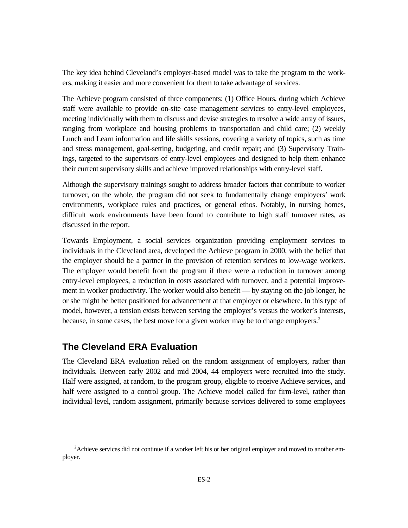The key idea behind Cleveland's employer-based model was to take the program to the workers, making it easier and more convenient for them to take advantage of services.

The Achieve program consisted of three components: (1) Office Hours, during which Achieve staff were available to provide on-site case management services to entry-level employees, meeting individually with them to discuss and devise strategies to resolve a wide array of issues, ranging from workplace and housing problems to transportation and child care; (2) weekly Lunch and Learn information and life skills sessions, covering a variety of topics, such as time and stress management, goal-setting, budgeting, and credit repair; and (3) Supervisory Trainings, targeted to the supervisors of entry-level employees and designed to help them enhance their current supervisory skills and achieve improved relationships with entry-level staff.

Although the supervisory trainings sought to address broader factors that contribute to worker turnover, on the whole, the program did not seek to fundamentally change employers' work environments, workplace rules and practices, or general ethos. Notably, in nursing homes, difficult work environments have been found to contribute to high staff turnover rates, as discussed in the report.

Towards Employment, a social services organization providing employment services to individuals in the Cleveland area, developed the Achieve program in 2000, with the belief that the employer should be a partner in the provision of retention services to low-wage workers. The employer would benefit from the program if there were a reduction in turnover among entry-level employees, a reduction in costs associated with turnover, and a potential improvement in worker productivity. The worker would also benefit — by staying on the job longer, he or she might be better positioned for advancement at that employer or elsewhere. In this type of model, however, a tension exists between serving the employer's versus the worker's interests, because, in some cases, the best move for a given worker may be to change employers.<sup>[2](#page-1-0)</sup>

## **The Cleveland ERA Evaluation**

The Cleveland ERA evaluation relied on the random assignment of employers, rather than individuals. Between early 2002 and mid 2004, 44 employers were recruited into the study. Half were assigned, at random, to the program group, eligible to receive Achieve services, and half were assigned to a control group. The Achieve model called for firm-level, rather than individual-level, random assignment, primarily because services delivered to some employees

<span id="page-1-0"></span> <sup>2</sup> <sup>2</sup> Achieve services did not continue if a worker left his or her original employer and moved to another employer.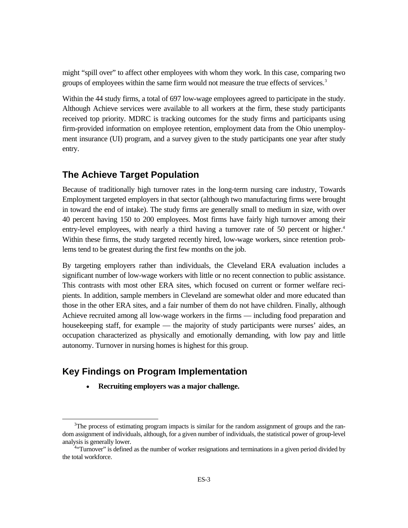might "spill over" to affect other employees with whom they work. In this case, comparing two groups of employees within the same firm would not measure the true effects of services.<sup>[3](#page-2-0)</sup>

Within the 44 study firms, a total of 697 low-wage employees agreed to participate in the study. Although Achieve services were available to all workers at the firm, these study participants received top priority. MDRC is tracking outcomes for the study firms and participants using firm-provided information on employee retention, employment data from the Ohio unemployment insurance (UI) program, and a survey given to the study participants one year after study entry.

## **The Achieve Target Population**

Because of traditionally high turnover rates in the long-term nursing care industry, Towards Employment targeted employers in that sector (although two manufacturing firms were brought in toward the end of intake). The study firms are generally small to medium in size, with over 40 percent having 150 to 200 employees. Most firms have fairly high turnover among their entry-level employees, with nearly a third having a turnover rate of 50 percent or higher.<sup>[4](#page-2-1)</sup> Within these firms, the study targeted recently hired, low-wage workers, since retention problems tend to be greatest during the first few months on the job.

By targeting employers rather than individuals, the Cleveland ERA evaluation includes a significant number of low-wage workers with little or no recent connection to public assistance. This contrasts with most other ERA sites, which focused on current or former welfare recipients. In addition, sample members in Cleveland are somewhat older and more educated than those in the other ERA sites, and a fair number of them do not have children. Finally, although Achieve recruited among all low-wage workers in the firms — including food preparation and housekeeping staff, for example — the majority of study participants were nurses' aides, an occupation characterized as physically and emotionally demanding, with low pay and little autonomy. Turnover in nursing homes is highest for this group.

# **Key Findings on Program Implementation**

• **Recruiting employers was a major challenge.** 

<span id="page-2-0"></span> <sup>3</sup>  $T$ The process of estimating program impacts is similar for the random assignment of groups and the random assignment of individuals, although, for a given number of individuals, the statistical power of group-level analysis is generally lower. 4

<span id="page-2-1"></span><sup>&</sup>lt;sup>4.</sup> Turnover" is defined as the number of worker resignations and terminations in a given period divided by the total workforce.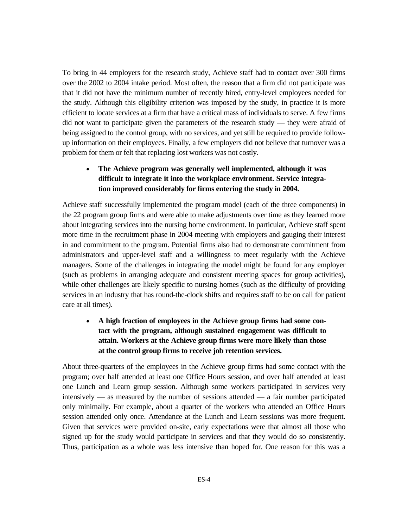To bring in 44 employers for the research study, Achieve staff had to contact over 300 firms over the 2002 to 2004 intake period. Most often, the reason that a firm did not participate was that it did not have the minimum number of recently hired, entry-level employees needed for the study. Although this eligibility criterion was imposed by the study, in practice it is more efficient to locate services at a firm that have a critical mass of individuals to serve. A few firms did not want to participate given the parameters of the research study — they were afraid of being assigned to the control group, with no services, and yet still be required to provide followup information on their employees. Finally, a few employers did not believe that turnover was a problem for them or felt that replacing lost workers was not costly.

## • **The Achieve program was generally well implemented, although it was difficult to integrate it into the workplace environment. Service integration improved considerably for firms entering the study in 2004.**

Achieve staff successfully implemented the program model (each of the three components) in the 22 program group firms and were able to make adjustments over time as they learned more about integrating services into the nursing home environment. In particular, Achieve staff spent more time in the recruitment phase in 2004 meeting with employers and gauging their interest in and commitment to the program. Potential firms also had to demonstrate commitment from administrators and upper-level staff and a willingness to meet regularly with the Achieve managers. Some of the challenges in integrating the model might be found for any employer (such as problems in arranging adequate and consistent meeting spaces for group activities), while other challenges are likely specific to nursing homes (such as the difficulty of providing services in an industry that has round-the-clock shifts and requires staff to be on call for patient care at all times).

## • **A high fraction of employees in the Achieve group firms had some contact with the program, although sustained engagement was difficult to attain. Workers at the Achieve group firms were more likely than those at the control group firms to receive job retention services.**

About three-quarters of the employees in the Achieve group firms had some contact with the program; over half attended at least one Office Hours session, and over half attended at least one Lunch and Learn group session. Although some workers participated in services very intensively — as measured by the number of sessions attended — a fair number participated only minimally. For example, about a quarter of the workers who attended an Office Hours session attended only once. Attendance at the Lunch and Learn sessions was more frequent. Given that services were provided on-site, early expectations were that almost all those who signed up for the study would participate in services and that they would do so consistently. Thus, participation as a whole was less intensive than hoped for. One reason for this was a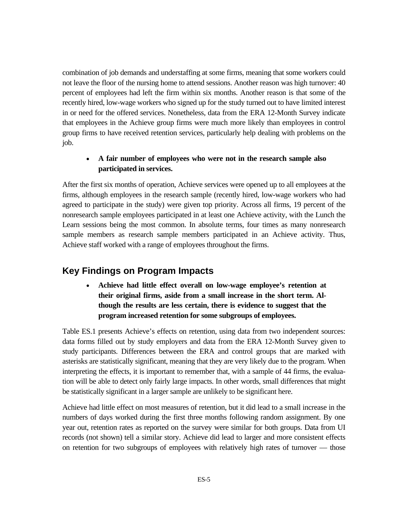combination of job demands and understaffing at some firms, meaning that some workers could not leave the floor of the nursing home to attend sessions. Another reason was high turnover: 40 percent of employees had left the firm within six months. Another reason is that some of the recently hired, low-wage workers who signed up for the study turned out to have limited interest in or need for the offered services. Nonetheless, data from the ERA 12-Month Survey indicate that employees in the Achieve group firms were much more likely than employees in control group firms to have received retention services, particularly help dealing with problems on the job.

### • **A fair number of employees who were not in the research sample also participated in services.**

After the first six months of operation, Achieve services were opened up to all employees at the firms, although employees in the research sample (recently hired, low-wage workers who had agreed to participate in the study) were given top priority. Across all firms, 19 percent of the nonresearch sample employees participated in at least one Achieve activity, with the Lunch the Learn sessions being the most common. In absolute terms, four times as many nonresearch sample members as research sample members participated in an Achieve activity. Thus, Achieve staff worked with a range of employees throughout the firms.

# **Key Findings on Program Impacts**

• **Achieve had little effect overall on low-wage employee's retention at their original firms, aside from a small increase in the short term. Although the results are less certain, there is evidence to suggest that the program increased retention for some subgroups of employees.** 

Table ES.1 presents Achieve's effects on retention, using data from two independent sources: data forms filled out by study employers and data from the ERA 12-Month Survey given to study participants. Differences between the ERA and control groups that are marked with asterisks are statistically significant, meaning that they are very likely due to the program. When interpreting the effects, it is important to remember that, with a sample of 44 firms, the evaluation will be able to detect only fairly large impacts. In other words, small differences that might be statistically significant in a larger sample are unlikely to be significant here.

Achieve had little effect on most measures of retention, but it did lead to a small increase in the numbers of days worked during the first three months following random assignment. By one year out, retention rates as reported on the survey were similar for both groups. Data from UI records (not shown) tell a similar story. Achieve did lead to larger and more consistent effects on retention for two subgroups of employees with relatively high rates of turnover — those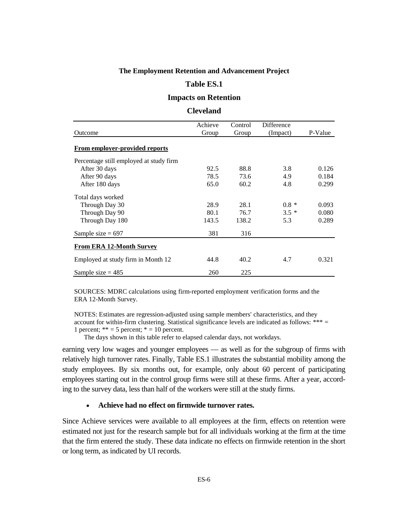### **The Employment Retention and Advancement Project**

#### **Table ES.1**

### **Impacts on Retention**

#### **Cleveland**

| Outcome                                 | Achieve<br>Group | Control<br>Group | Difference<br>(Impact) | P-Value |
|-----------------------------------------|------------------|------------------|------------------------|---------|
|                                         |                  |                  |                        |         |
| <b>From employer-provided reports</b>   |                  |                  |                        |         |
| Percentage still employed at study firm |                  |                  |                        |         |
| After 30 days                           | 92.5             | 88.8             | 3.8                    | 0.126   |
| After 90 days                           | 78.5             | 73.6             | 4.9                    | 0.184   |
| After 180 days                          | 65.0             | 60.2             | 4.8                    | 0.299   |
| Total days worked                       |                  |                  |                        |         |
| Through Day 30                          | 28.9             | 28.1             | $0.8 *$                | 0.093   |
| Through Day 90                          | 80.1             | 76.7             | $3.5*$                 | 0.080   |
| Through Day 180                         | 143.5            | 138.2            | 5.3                    | 0.289   |
| Sample size $= 697$                     | 381              | 316              |                        |         |
| <b>From ERA 12-Month Survey</b>         |                  |                  |                        |         |
| Employed at study firm in Month 12      | 44.8             | 40.2             | 4.7                    | 0.321   |
| Sample size $= 485$                     | 260              | 225              |                        |         |

SOURCES: MDRC calculations using firm-reported employment verification forms and the ERA 12-Month Survey.

account for within-firm clustering. Statistical significance levels are indicated as follows: \*\*\* = NOTES: Estimates are regression-adjusted using sample members' characteristics, and they 1 percent;  $** = 5$  percent;  $* = 10$  percent.

The days shown in this table refer to elapsed calendar days, not workdays.

earning very low wages and younger employees — as well as for the subgroup of firms with relatively high turnover rates. Finally, Table ES.1 illustrates the substantial mobility among the study employees. By six months out, for example, only about 60 percent of participating employees starting out in the control group firms were still at these firms. After a year, according to the survey data, less than half of the workers were still at the study firms.

### • **Achieve had no effect on firmwide turnover rates.**

Since Achieve services were available to all employees at the firm, effects on retention were estimated not just for the research sample but for all individuals working at the firm at the time that the firm entered the study. These data indicate no effects on firmwide retention in the short or long term, as indicated by UI records.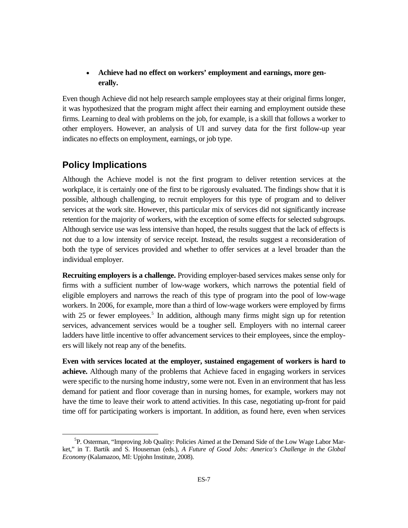### • **Achieve had no effect on workers' employment and earnings, more generally.**

Even though Achieve did not help research sample employees stay at their original firms longer, it was hypothesized that the program might affect their earning and employment outside these firms. Learning to deal with problems on the job, for example, is a skill that follows a worker to other employers. However, an analysis of UI and survey data for the first follow-up year indicates no effects on employment, earnings, or job type.

# **Policy Implications**

Although the Achieve model is not the first program to deliver retention services at the workplace, it is certainly one of the first to be rigorously evaluated. The findings show that it is possible, although challenging, to recruit employers for this type of program and to deliver services at the work site. However, this particular mix of services did not significantly increase retention for the majority of workers, with the exception of some effects for selected subgroups. Although service use was less intensive than hoped, the results suggest that the lack of effects is not due to a low intensity of service receipt. Instead, the results suggest a reconsideration of both the type of services provided and whether to offer services at a level broader than the individual employer.

**Recruiting employers is a challenge.** Providing employer-based services makes sense only for firms with a sufficient number of low-wage workers, which narrows the potential field of eligible employers and narrows the reach of this type of program into the pool of low-wage workers. In 2006, for example, more than a third of low-wage workers were employed by firms with 25 or fewer employees.<sup>5</sup> In addition, although many firms might sign up for retention services, advancement services would be a tougher sell. Employers with no internal career ladders have little incentive to offer advancement services to their employees, since the employers will likely not reap any of the benefits.

**Even with services located at the employer, sustained engagement of workers is hard to achieve.** Although many of the problems that Achieve faced in engaging workers in services were specific to the nursing home industry, some were not. Even in an environment that has less demand for patient and floor coverage than in nursing homes, for example, workers may not have the time to leave their work to attend activities. In this case, negotiating up-front for paid time off for participating workers is important. In addition, as found here, even when services

<span id="page-6-0"></span> $rac{1}{5}$  ${}^{5}P$ . Osterman, "Improving Job Quality: Policies Aimed at the Demand Side of the Low Wage Labor Market," in T. Bartik and S. Houseman (eds.), *A Future of Good Jobs: America's Challenge in the Global Economy* (Kalamazoo, MI: Upjohn Institute, 2008).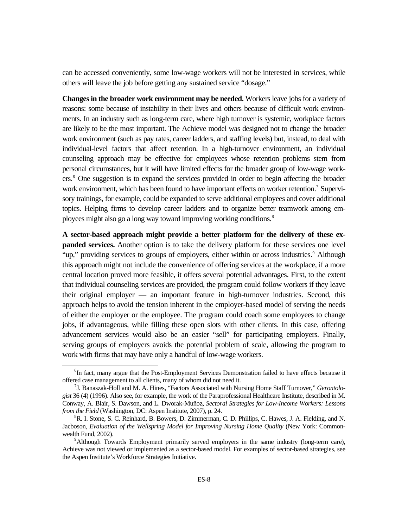can be accessed conveniently, some low-wage workers will not be interested in services, while others will leave the job before getting any sustained service "dosage."

**Changes in the broader work environment may be needed.** Workers leave jobs for a variety of reasons: some because of instability in their lives and others because of difficult work environments. In an industry such as long-term care, where high turnover is systemic, workplace factors are likely to be the most important. The Achieve model was designed not to change the broader work environment (such as pay rates, career ladders, and staffing levels) but, instead, to deal with individual-level factors that affect retention. In a high-turnover environment, an individual counseling approach may be effective for employees whose retention problems stem from personal circumstances, but it will have limited effects for the broader group of low-wage workers.<sup>6</sup> One suggestion is to expand the services provided in order to begin affecting the broader work environment, which has been found to have important effects on worker retention.<sup>[7](#page-7-1)</sup> Supervisory trainings, for example, could be expanded to serve additional employees and cover additional topics. Helping firms to develop career ladders and to organize better teamwork among em-ployees might also go a long way toward improving working conditions.<sup>[8](#page-7-2)</sup>

**A sector-based approach might provide a better platform for the delivery of these expanded services.** Another option is to take the delivery platform for these services one level "up," providing services to groups of employers, either within or across industries.<sup>[9](#page-7-3)</sup> Although this approach might not include the convenience of offering services at the workplace, if a more central location proved more feasible, it offers several potential advantages. First, to the extent that individual counseling services are provided, the program could follow workers if they leave their original employer — an important feature in high-turnover industries. Second, this approach helps to avoid the tension inherent in the employer-based model of serving the needs of either the employer or the employee. The program could coach some employees to change jobs, if advantageous, while filling these open slots with other clients. In this case, offering advancement services would also be an easier "sell" for participating employers. Finally, serving groups of employers avoids the potential problem of scale, allowing the program to work with firms that may have only a handful of low-wage workers.

<span id="page-7-0"></span> $\overline{6}$ <sup>6</sup>In fact, many argue that the Post-Employment Services Demonstration failed to have effects because it offered case management to all clients, many of whom did not need it. 7

<span id="page-7-1"></span>J. Banaszak-Holl and M. A. Hines, "Factors Associated with Nursing Home Staff Turnover," *Gerontologist* 36 (4) (1996). Also see, for example, the work of the Paraprofessional Healthcare Institute, described in M. Conway, A. Blair, S. Dawson, and L. Dworak-Muñoz, *Sectoral Strategies for Low-Income Workers: Lessons from the Field* (Washington, DC: Aspen Institute, 2007), p. 24.

<span id="page-7-2"></span> ${}^8R$ . I. Stone, S. C. Reinhard, B. Bowers, D. Zimmerman, C. D. Phillips, C. Hawes, J. A. Fielding, and N. Jacboson, *Evaluation of the Wellspring Model for Improving Nursing Home Quality* (New York: Commonwealth Fund, 2002).

<span id="page-7-3"></span><sup>&</sup>lt;sup>9</sup>Although Towards Employment primarily served employers in the same industry (long-term care), Achieve was not viewed or implemented as a sector-based model. For examples of sector-based strategies, see the Aspen Institute's Workforce Strategies Initiative.